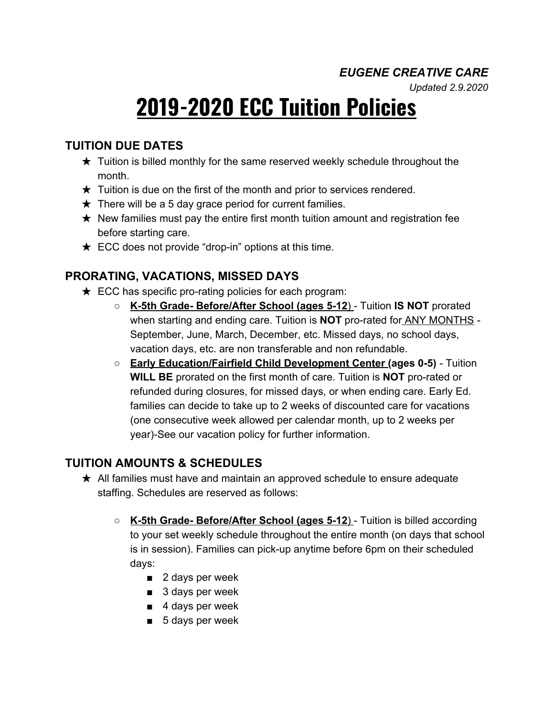### *EUGENE CREATIVE CARE*

*Updated 2.9.2020*

# **2019-2020 ECC Tuition Policies**

## **TUITION DUE DATES**

- $\star$  Tuition is billed monthly for the same reserved weekly schedule throughout the month.
- $\star$  Tuition is due on the first of the month and prior to services rendered.
- $\star$  There will be a 5 day grace period for current families.
- $\star$  New families must pay the entire first month tuition amount and registration fee before starting care.
- $\star$  ECC does not provide "drop-in" options at this time.

### **PRORATING, VACATIONS, MISSED DAYS**

- $\star$  ECC has specific pro-rating policies for each program:
	- **K-5th Grade- Before/After School (ages 5-12**) Tuition **IS NOT** prorated when starting and ending care. Tuition is **NOT** pro-rated for ANY MONTHS - September, June, March, December, etc. Missed days, no school days, vacation days, etc. are non transferable and non refundable.
	- **Early Education/Fairfield Child Development Center (ages 0-5)** Tuition **WILL BE** prorated on the first month of care. Tuition is **NOT** pro-rated or refunded during closures, for missed days, or when ending care. Early Ed. families can decide to take up to 2 weeks of discounted care for vacations (one consecutive week allowed per calendar month, up to 2 weeks per year)-See our vacation policy for further information.

#### **TUITION AMOUNTS & SCHEDULES**

- ★ All families must have and maintain an approved schedule to ensure adequate staffing. Schedules are reserved as follows:
	- **K-5th Grade- Before/After School (ages 5-12**) Tuition is billed according to your set weekly schedule throughout the entire month (on days that school is in session). Families can pick-up anytime before 6pm on their scheduled days:
		- 2 days per week
		- 3 days per week
		- 4 days per week
		- 5 days per week